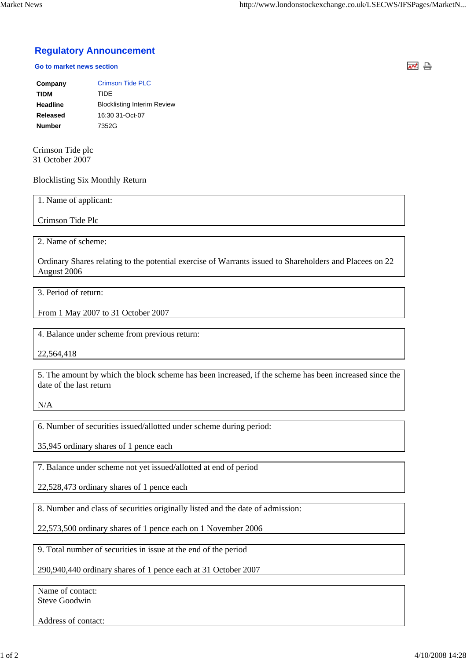## **Regulatory Announcement**

## **Go to market news section**

| Company       | <b>Crimson Tide PLC</b>            |
|---------------|------------------------------------|
| <b>TIDM</b>   | TIDE                               |
| Headline      | <b>Blocklisting Interim Review</b> |
| Released      | 16:30 31-Oct-07                    |
| <b>Number</b> | 7352G                              |

Crimson Tide plc 31 October 2007

## Blocklisting Six Monthly Return

1. Name of applicant:

Crimson Tide Plc

2. Name of scheme:

Ordinary Shares relating to the potential exercise of Warrants issued to Shareholders and Placees on 22 August 2006

3. Period of return:

From 1 May 2007 to 31 October 2007

4. Balance under scheme from previous return:

22,564,418

5. The amount by which the block scheme has been increased, if the scheme has been increased since the date of the last return

N/A

6. Number of securities issued/allotted under scheme during period:

35,945 ordinary shares of 1 pence each

7. Balance under scheme not yet issued/allotted at end of period

22,528,473 ordinary shares of 1 pence each

8. Number and class of securities originally listed and the date of admission:

22,573,500 ordinary shares of 1 pence each on 1 November 2006

9. Total number of securities in issue at the end of the period

290,940,440 ordinary shares of 1 pence each at 31 October 2007

Name of contact: Steve Goodwin

Address of contact:

ᆏ